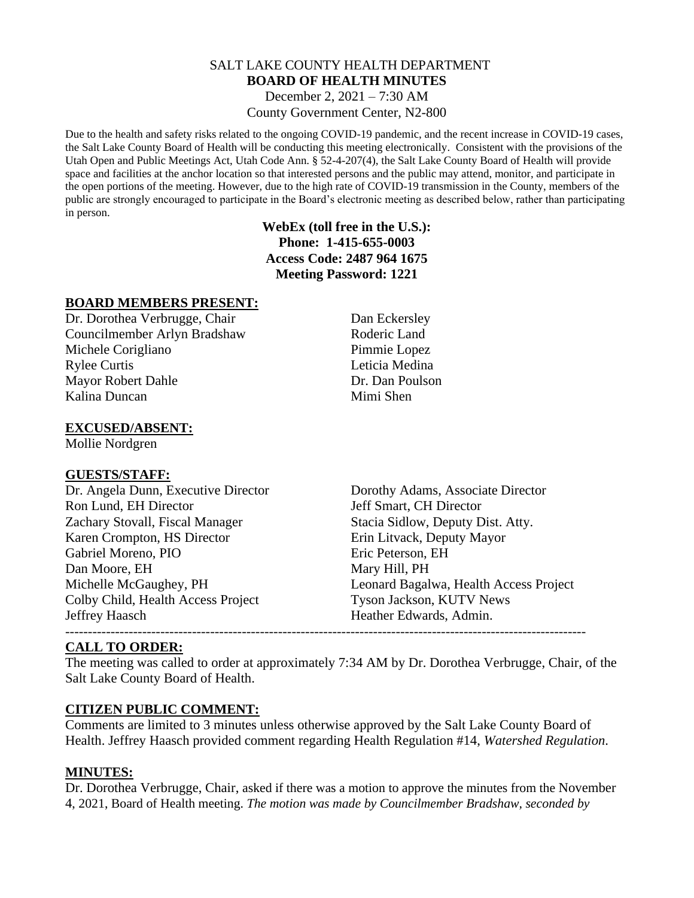# SALT LAKE COUNTY HEALTH DEPARTMENT **BOARD OF HEALTH MINUTES**

December 2, 2021 – 7:30 AM County Government Center, N2-800

Due to the health and safety risks related to the ongoing COVID-19 pandemic, and the recent increase in COVID-19 cases, the Salt Lake County Board of Health will be conducting this meeting electronically. Consistent with the provisions of the Utah Open and Public Meetings Act, Utah Code Ann. § 52-4-207(4), the Salt Lake County Board of Health will provide space and facilities at the anchor location so that interested persons and the public may attend, monitor, and participate in the open portions of the meeting. However, due to the high rate of COVID-19 transmission in the County, members of the public are strongly encouraged to participate in the Board's electronic meeting as described below, rather than participating in person.

#### **WebEx (toll free in the U.S.): Phone: 1-415-655-0003 Access Code: 2487 964 1675 Meeting Password: 1221**

#### **BOARD MEMBERS PRESENT:**

Dr. Dorothea Verbrugge, Chair Dan Eckersley Councilmember Arlyn Bradshaw Roderic Land Michele Corigliano Pimmie Lopez Rylee Curtis Leticia Medina Mayor Robert Dahle Dr. Dan Poulson Kalina Duncan Mimi Shen

#### **EXCUSED/ABSENT:**

Mollie Nordgren

#### **GUESTS/STAFF:**

Dr. Angela Dunn, Executive Director Dorothy Adams, Associate Director Ron Lund, EH Director Jeff Smart, CH Director Zachary Stovall, Fiscal Manager Stacia Sidlow, Deputy Dist. Atty. Karen Crompton, HS Director Erin Litvack, Deputy Mayor Gabriel Moreno, PIO Eric Peterson, EH Dan Moore, EH Mary Hill, PH Colby Child, Health Access Project Tyson Jackson, KUTV News Jeffrey Haasch **Heather Edwards, Admin.** 

Michelle McGaughey, PH Leonard Bagalwa, Health Access Project -------------------------------------------------------------------------------------------------------------------

### **CALL TO ORDER:**

The meeting was called to order at approximately 7:34 AM by Dr. Dorothea Verbrugge, Chair, of the Salt Lake County Board of Health.

#### **CITIZEN PUBLIC COMMENT:**

Comments are limited to 3 minutes unless otherwise approved by the Salt Lake County Board of Health. Jeffrey Haasch provided comment regarding Health Regulation #14, *Watershed Regulation*.

#### **MINUTES:**

Dr. Dorothea Verbrugge, Chair, asked if there was a motion to approve the minutes from the November 4, 2021, Board of Health meeting. *The motion was made by Councilmember Bradshaw, seconded by*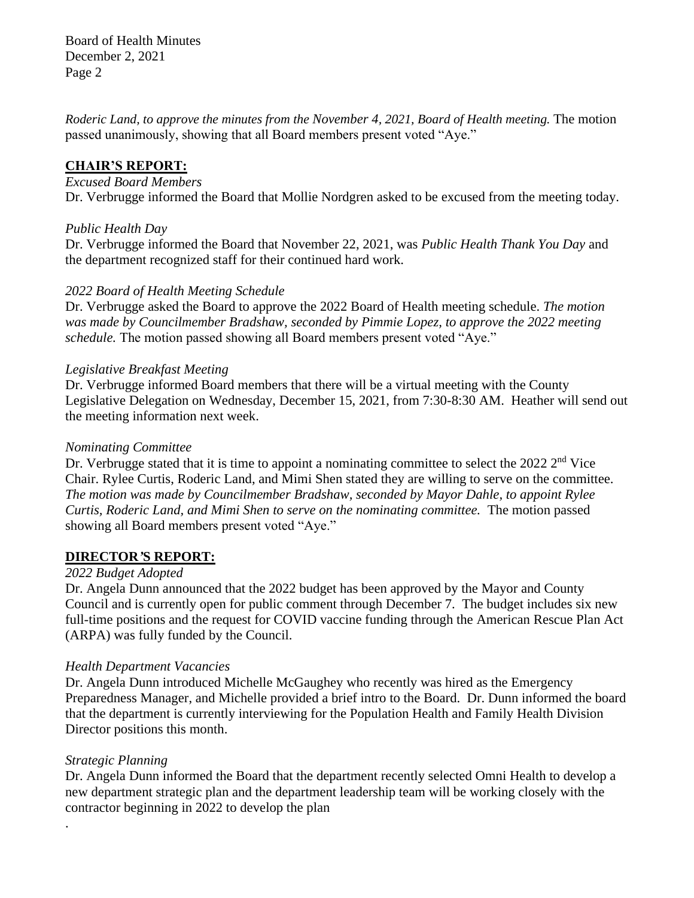Board of Health Minutes December 2, 2021 Page 2

*Roderic Land, to approve the minutes from the November 4, 2021, Board of Health meeting.* The motion passed unanimously, showing that all Board members present voted "Aye."

#### **CHAIR'S REPORT:**

#### *Excused Board Members*

Dr. Verbrugge informed the Board that Mollie Nordgren asked to be excused from the meeting today.

#### *Public Health Day*

Dr. Verbrugge informed the Board that November 22, 2021, was *Public Health Thank You Day* and the department recognized staff for their continued hard work.

#### *2022 Board of Health Meeting Schedule*

Dr. Verbrugge asked the Board to approve the 2022 Board of Health meeting schedule. *The motion was made by Councilmember Bradshaw, seconded by Pimmie Lopez, to approve the 2022 meeting schedule.* The motion passed showing all Board members present voted "Aye."

#### *Legislative Breakfast Meeting*

Dr. Verbrugge informed Board members that there will be a virtual meeting with the County Legislative Delegation on Wednesday, December 15, 2021, from 7:30-8:30 AM. Heather will send out the meeting information next week.

#### *Nominating Committee*

Dr. Verbrugge stated that it is time to appoint a nominating committee to select the 2022  $2<sup>nd</sup>$  Vice Chair. Rylee Curtis, Roderic Land, and Mimi Shen stated they are willing to serve on the committee. *The motion was made by Councilmember Bradshaw, seconded by Mayor Dahle, to appoint Rylee Curtis, Roderic Land, and Mimi Shen to serve on the nominating committee.* The motion passed showing all Board members present voted "Aye."

### **DIRECTOR***'***S REPORT:**

#### *2022 Budget Adopted*

Dr. Angela Dunn announced that the 2022 budget has been approved by the Mayor and County Council and is currently open for public comment through December 7. The budget includes six new full-time positions and the request for COVID vaccine funding through the American Rescue Plan Act (ARPA) was fully funded by the Council.

#### *Health Department Vacancies*

Dr. Angela Dunn introduced Michelle McGaughey who recently was hired as the Emergency Preparedness Manager, and Michelle provided a brief intro to the Board. Dr. Dunn informed the board that the department is currently interviewing for the Population Health and Family Health Division Director positions this month.

### *Strategic Planning*

.

Dr. Angela Dunn informed the Board that the department recently selected Omni Health to develop a new department strategic plan and the department leadership team will be working closely with the contractor beginning in 2022 to develop the plan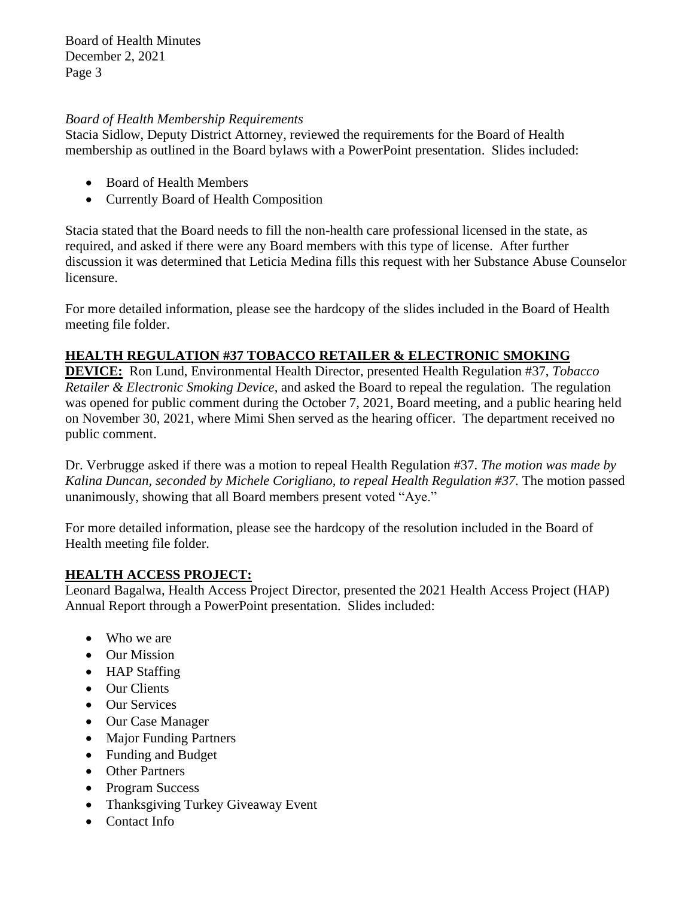Board of Health Minutes December 2, 2021 Page 3

#### *Board of Health Membership Requirements*

Stacia Sidlow, Deputy District Attorney, reviewed the requirements for the Board of Health membership as outlined in the Board bylaws with a PowerPoint presentation. Slides included:

- Board of Health Members
- Currently Board of Health Composition

Stacia stated that the Board needs to fill the non-health care professional licensed in the state, as required, and asked if there were any Board members with this type of license. After further discussion it was determined that Leticia Medina fills this request with her Substance Abuse Counselor licensure.

For more detailed information, please see the hardcopy of the slides included in the Board of Health meeting file folder.

# **HEALTH REGULATION #37 TOBACCO RETAILER & ELECTRONIC SMOKING**

**DEVICE:** Ron Lund, Environmental Health Director, presented Health Regulation #37, *Tobacco Retailer & Electronic Smoking Device,* and asked the Board to repeal the regulation. The regulation was opened for public comment during the October 7, 2021, Board meeting, and a public hearing held on November 30, 2021, where Mimi Shen served as the hearing officer. The department received no public comment.

Dr. Verbrugge asked if there was a motion to repeal Health Regulation #37. *The motion was made by Kalina Duncan, seconded by Michele Corigliano, to repeal Health Regulation #37.* The motion passed unanimously, showing that all Board members present voted "Aye."

For more detailed information, please see the hardcopy of the resolution included in the Board of Health meeting file folder.

# **HEALTH ACCESS PROJECT:**

Leonard Bagalwa, Health Access Project Director, presented the 2021 Health Access Project (HAP) Annual Report through a PowerPoint presentation. Slides included:

- Who we are
- Our Mission
- HAP Staffing
- Our Clients
- Our Services
- Our Case Manager
- Major Funding Partners
- Funding and Budget
- Other Partners
- Program Success
- Thanksgiving Turkey Giveaway Event
- Contact Info